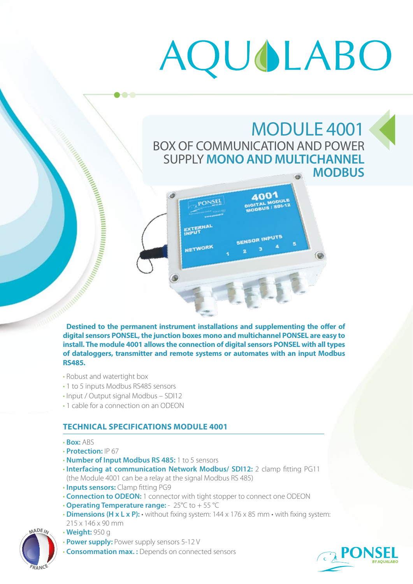# AQUOLABO

## MODULE 4001 BOX OF COMMUNICATION AND POWER SUPPLY **MONO AND MULTICHANNEL MODBUS**



**Destined to the permanent instrument installations and supplementing the offer of digital sensors PONSEL, the junction boxes mono and multichannel PONSEL are easy to install. The module 4001 allows the connection of digital sensors PONSEL with all types of dataloggers, transmitter and remote systems or automates with an input Modbus RS485.**

• Robust and watertight box

**The Contract of the Contract of the Contract of the Contract of the Contract of the Contract of the Contract of the Contract of the Contract of the Contract of the Contract of the Contract of the Contract of the Contract** 

- 1 to 5 inputs Modbus RS485 sensors
- Input / Output signal Modbus SDI12
- 1 cable for a connection on an ODEON

### **TECHNICAL SPECIFICATIONS MODULE 4001**

- **Box:** ABS
- **Protection:** IP 67
- **Number of Input Modbus RS 485:** 1 to 5 sensors
- **Interfacing at communication Network Modbus/ SDI12:** 2 clamp fitting PG11 (the Module 4001 can be a relay at the signal Modbus RS 485)
- **Inputs sensors:** Clamp fitting PG9
- **Connection to ODEON:** 1 connector with tight stopper to connect one ODEON
- **Operating Temperature range:**  25°C to + 55 °C
- **Dimensions (H x L x P):** without fixing system: 144 x 176 x 85 mm with fixing system: 215 x 146 x 90 mm



- **Weight:** 950 g
- **Power supply:** Power supply sensors 5-12 V
- **Consommation max. :** Depends on connected sensors